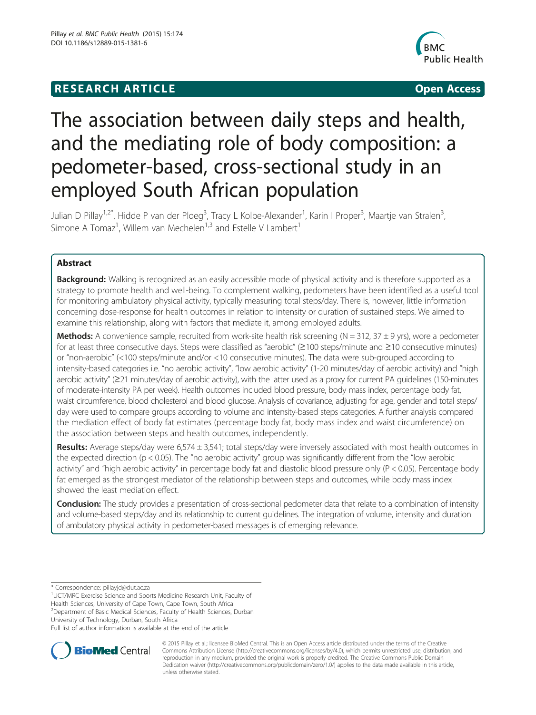# **RESEARCH ARTICLE Example 2008 CONSIDERING CONSIDERING CONSIDERING CONSIDERING CONSIDERING CONSIDERING CONSIDERING CONSIDERING CONSIDERING CONSIDERING CONSIDERING CONSIDERING CONSIDERING CONSIDERING CONSIDERING CONSIDE**



# The association between daily steps and health, and the mediating role of body composition: a pedometer-based, cross-sectional study in an employed South African population

Julian D Pillay<sup>1,2\*</sup>, Hidde P van der Ploeg<sup>3</sup>, Tracy L Kolbe-Alexander<sup>1</sup>, Karin I Proper<sup>3</sup>, Maartje van Stralen<sup>3</sup> , Simone A Tomaz<sup>1</sup>, Willem van Mechelen<sup>1,3</sup> and Estelle V Lambert<sup>1</sup>

# Abstract

Background: Walking is recognized as an easily accessible mode of physical activity and is therefore supported as a strategy to promote health and well-being. To complement walking, pedometers have been identified as a useful tool for monitoring ambulatory physical activity, typically measuring total steps/day. There is, however, little information concerning dose-response for health outcomes in relation to intensity or duration of sustained steps. We aimed to examine this relationship, along with factors that mediate it, among employed adults.

**Methods:** A convenience sample, recruited from work-site health risk screening ( $N = 312$ ,  $37 \pm 9$  yrs), wore a pedometer for at least three consecutive days. Steps were classified as "aerobic" (≥100 steps/minute and ≥10 consecutive minutes) or "non-aerobic" (<100 steps/minute and/or <10 consecutive minutes). The data were sub-grouped according to intensity-based categories i.e. "no aerobic activity", "low aerobic activity" (1-20 minutes/day of aerobic activity) and "high aerobic activity" (≥21 minutes/day of aerobic activity), with the latter used as a proxy for current PA guidelines (150-minutes of moderate-intensity PA per week). Health outcomes included blood pressure, body mass index, percentage body fat, waist circumference, blood cholesterol and blood glucose. Analysis of covariance, adjusting for age, gender and total steps/ day were used to compare groups according to volume and intensity-based steps categories. A further analysis compared the mediation effect of body fat estimates (percentage body fat, body mass index and waist circumference) on the association between steps and health outcomes, independently.

Results: Average steps/day were 6,574 ± 3,541; total steps/day were inversely associated with most health outcomes in the expected direction (p < 0.05). The "no aerobic activity" group was significantly different from the "low aerobic activity" and "high aerobic activity" in percentage body fat and diastolic blood pressure only (P < 0.05). Percentage body fat emerged as the strongest mediator of the relationship between steps and outcomes, while body mass index showed the least mediation effect.

**Conclusion:** The study provides a presentation of cross-sectional pedometer data that relate to a combination of intensity and volume-based steps/day and its relationship to current guidelines. The integration of volume, intensity and duration of ambulatory physical activity in pedometer-based messages is of emerging relevance.

<sup>1</sup>UCT/MRC Exercise Science and Sports Medicine Research Unit, Faculty of Health Sciences, University of Cape Town, Cape Town, South Africa

<sup>2</sup> Department of Basic Medical Sciences, Faculty of Health Sciences, Durban University of Technology, Durban, South Africa

Full list of author information is available at the end of the article



© 2015 Pillay et al.; licensee BioMed Central. This is an Open Access article distributed under the terms of the Creative Commons Attribution License [\(http://creativecommons.org/licenses/by/4.0\)](http://creativecommons.org/licenses/by/4.0), which permits unrestricted use, distribution, and reproduction in any medium, provided the original work is properly credited. The Creative Commons Public Domain Dedication waiver [\(http://creativecommons.org/publicdomain/zero/1.0/](http://creativecommons.org/publicdomain/zero/1.0/)) applies to the data made available in this article, unless otherwise stated.

<sup>\*</sup> Correspondence: [pillayjd@dut.ac.za](mailto:pillayjd@dut.ac.za) <sup>1</sup>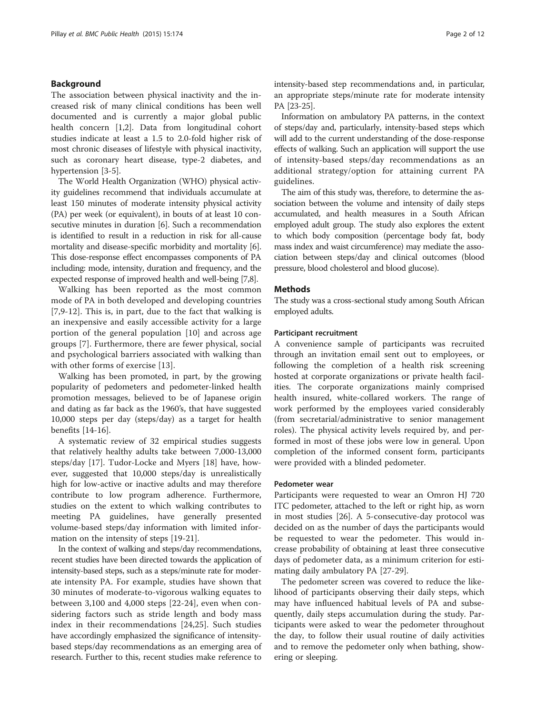#### Background

The association between physical inactivity and the increased risk of many clinical conditions has been well documented and is currently a major global public health concern [\[1,2](#page-10-0)]. Data from longitudinal cohort studies indicate at least a 1.5 to 2.0-fold higher risk of most chronic diseases of lifestyle with physical inactivity, such as coronary heart disease, type-2 diabetes, and hypertension [[3-5](#page-10-0)].

The World Health Organization (WHO) physical activity guidelines recommend that individuals accumulate at least 150 minutes of moderate intensity physical activity (PA) per week (or equivalent), in bouts of at least 10 consecutive minutes in duration [[6](#page-10-0)]. Such a recommendation is identified to result in a reduction in risk for all-cause mortality and disease-specific morbidity and mortality [[6](#page-10-0)]. This dose-response effect encompasses components of PA including: mode, intensity, duration and frequency, and the expected response of improved health and well-being [[7,8](#page-10-0)].

Walking has been reported as the most common mode of PA in both developed and developing countries [[7,9](#page-10-0)-[12\]](#page-10-0). This is, in part, due to the fact that walking is an inexpensive and easily accessible activity for a large portion of the general population [\[10](#page-10-0)] and across age groups [\[7](#page-10-0)]. Furthermore, there are fewer physical, social and psychological barriers associated with walking than with other forms of exercise [\[13](#page-10-0)].

Walking has been promoted, in part, by the growing popularity of pedometers and pedometer-linked health promotion messages, believed to be of Japanese origin and dating as far back as the 1960's, that have suggested 10,000 steps per day (steps/day) as a target for health benefits [[14](#page-10-0)-[16\]](#page-10-0).

A systematic review of 32 empirical studies suggests that relatively healthy adults take between 7,000-13,000 steps/day [[17](#page-10-0)]. Tudor-Locke and Myers [[18](#page-10-0)] have, however, suggested that 10,000 steps/day is unrealistically high for low-active or inactive adults and may therefore contribute to low program adherence. Furthermore, studies on the extent to which walking contributes to meeting PA guidelines, have generally presented volume-based steps/day information with limited information on the intensity of steps [[19](#page-10-0)[-21](#page-11-0)].

In the context of walking and steps/day recommendations, recent studies have been directed towards the application of intensity-based steps, such as a steps/minute rate for moderate intensity PA. For example, studies have shown that 30 minutes of moderate-to-vigorous walking equates to between 3,100 and 4,000 steps [\[22](#page-11-0)-[24\]](#page-11-0), even when considering factors such as stride length and body mass index in their recommendations [\[24,25](#page-11-0)]. Such studies have accordingly emphasized the significance of intensitybased steps/day recommendations as an emerging area of research. Further to this, recent studies make reference to intensity-based step recommendations and, in particular, an appropriate steps/minute rate for moderate intensity PA [\[23-25\]](#page-11-0).

Information on ambulatory PA patterns, in the context of steps/day and, particularly, intensity-based steps which will add to the current understanding of the dose-response effects of walking. Such an application will support the use of intensity-based steps/day recommendations as an additional strategy/option for attaining current PA guidelines.

The aim of this study was, therefore, to determine the association between the volume and intensity of daily steps accumulated, and health measures in a South African employed adult group. The study also explores the extent to which body composition (percentage body fat, body mass index and waist circumference) may mediate the association between steps/day and clinical outcomes (blood pressure, blood cholesterol and blood glucose).

## **Mathods**

The study was a cross-sectional study among South African employed adults.

#### Participant recruitment

A convenience sample of participants was recruited through an invitation email sent out to employees, or following the completion of a health risk screening hosted at corporate organizations or private health facilities. The corporate organizations mainly comprised health insured, white-collared workers. The range of work performed by the employees varied considerably (from secretarial/administrative to senior management roles). The physical activity levels required by, and performed in most of these jobs were low in general. Upon completion of the informed consent form, participants were provided with a blinded pedometer.

#### Pedometer wear

Participants were requested to wear an Omron HJ 720 ITC pedometer, attached to the left or right hip, as worn in most studies [[26\]](#page-11-0). A 5-consecutive-day protocol was decided on as the number of days the participants would be requested to wear the pedometer. This would increase probability of obtaining at least three consecutive days of pedometer data, as a minimum criterion for estimating daily ambulatory PA [\[27](#page-11-0)-[29\]](#page-11-0).

The pedometer screen was covered to reduce the likelihood of participants observing their daily steps, which may have influenced habitual levels of PA and subsequently, daily steps accumulation during the study. Participants were asked to wear the pedometer throughout the day, to follow their usual routine of daily activities and to remove the pedometer only when bathing, showering or sleeping.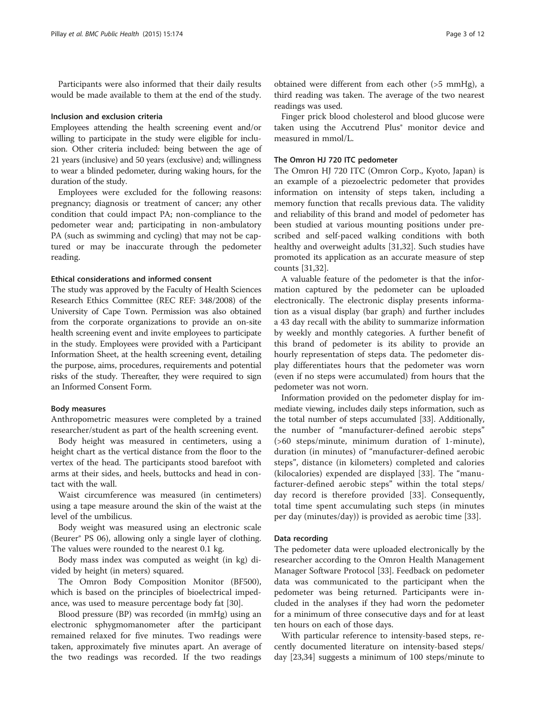Participants were also informed that their daily results would be made available to them at the end of the study.

#### Inclusion and exclusion criteria

Employees attending the health screening event and/or willing to participate in the study were eligible for inclusion. Other criteria included: being between the age of 21 years (inclusive) and 50 years (exclusive) and; willingness to wear a blinded pedometer, during waking hours, for the duration of the study.

Employees were excluded for the following reasons: pregnancy; diagnosis or treatment of cancer; any other condition that could impact PA; non-compliance to the pedometer wear and; participating in non-ambulatory PA (such as swimming and cycling) that may not be captured or may be inaccurate through the pedometer reading.

#### Ethical considerations and informed consent

The study was approved by the Faculty of Health Sciences Research Ethics Committee (REC REF: 348/2008) of the University of Cape Town. Permission was also obtained from the corporate organizations to provide an on-site health screening event and invite employees to participate in the study. Employees were provided with a Participant Information Sheet, at the health screening event, detailing the purpose, aims, procedures, requirements and potential risks of the study. Thereafter, they were required to sign an Informed Consent Form.

# Body measures

Anthropometric measures were completed by a trained researcher/student as part of the health screening event.

Body height was measured in centimeters, using a height chart as the vertical distance from the floor to the vertex of the head. The participants stood barefoot with arms at their sides, and heels, buttocks and head in contact with the wall.

Waist circumference was measured (in centimeters) using a tape measure around the skin of the waist at the level of the umbilicus.

Body weight was measured using an electronic scale (Beurer® PS 06), allowing only a single layer of clothing. The values were rounded to the nearest 0.1 kg.

Body mass index was computed as weight (in kg) divided by height (in meters) squared.

The Omron Body Composition Monitor (BF500), which is based on the principles of bioelectrical impedance, was used to measure percentage body fat [[30\]](#page-11-0).

Blood pressure (BP) was recorded (in mmHg) using an electronic sphygmomanometer after the participant remained relaxed for five minutes. Two readings were taken, approximately five minutes apart. An average of the two readings was recorded. If the two readings

obtained were different from each other (>5 mmHg), a third reading was taken. The average of the two nearest readings was used.

Finger prick blood cholesterol and blood glucose were taken using the Accutrend Plus® monitor device and measured in mmol/L.

#### The Omron HJ 720 ITC pedometer

The Omron HJ 720 ITC (Omron Corp., Kyoto, Japan) is an example of a piezoelectric pedometer that provides information on intensity of steps taken, including a memory function that recalls previous data. The validity and reliability of this brand and model of pedometer has been studied at various mounting positions under prescribed and self-paced walking conditions with both healthy and overweight adults [[31,32\]](#page-11-0). Such studies have promoted its application as an accurate measure of step counts [\[31,32\]](#page-11-0).

A valuable feature of the pedometer is that the information captured by the pedometer can be uploaded electronically. The electronic display presents information as a visual display (bar graph) and further includes a 43 day recall with the ability to summarize information by weekly and monthly categories. A further benefit of this brand of pedometer is its ability to provide an hourly representation of steps data. The pedometer display differentiates hours that the pedometer was worn (even if no steps were accumulated) from hours that the pedometer was not worn.

Information provided on the pedometer display for immediate viewing, includes daily steps information, such as the total number of steps accumulated [\[33\]](#page-11-0). Additionally, the number of "manufacturer-defined aerobic steps" (>60 steps/minute, minimum duration of 1-minute), duration (in minutes) of "manufacturer-defined aerobic steps", distance (in kilometers) completed and calories (kilocalories) expended are displayed [[33](#page-11-0)]. The "manufacturer-defined aerobic steps" within the total steps/ day record is therefore provided [\[33](#page-11-0)]. Consequently, total time spent accumulating such steps (in minutes per day (minutes/day)) is provided as aerobic time [\[33](#page-11-0)].

#### Data recording

The pedometer data were uploaded electronically by the researcher according to the Omron Health Management Manager Software Protocol [[33\]](#page-11-0). Feedback on pedometer data was communicated to the participant when the pedometer was being returned. Participants were included in the analyses if they had worn the pedometer for a minimum of three consecutive days and for at least ten hours on each of those days.

With particular reference to intensity-based steps, recently documented literature on intensity-based steps/ day [[23,34](#page-11-0)] suggests a minimum of 100 steps/minute to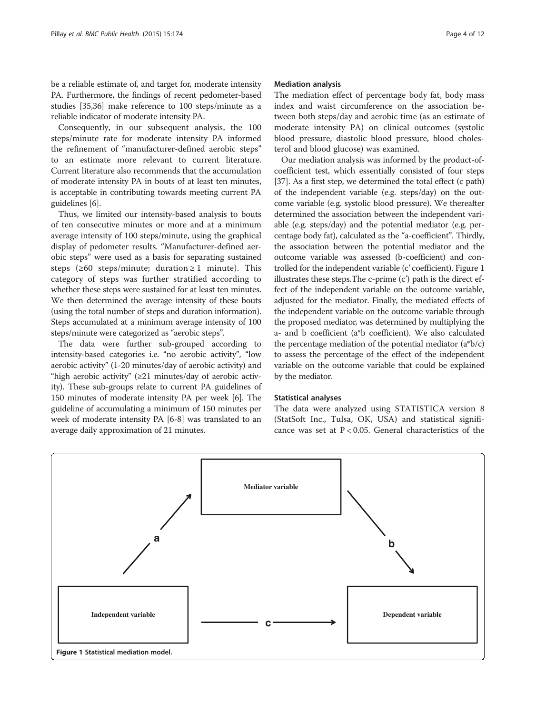be a reliable estimate of, and target for, moderate intensity PA. Furthermore, the findings of recent pedometer-based studies [[35,36\]](#page-11-0) make reference to 100 steps/minute as a reliable indicator of moderate intensity PA.

Consequently, in our subsequent analysis, the 100 steps/minute rate for moderate intensity PA informed the refinement of "manufacturer-defined aerobic steps" to an estimate more relevant to current literature. Current literature also recommends that the accumulation of moderate intensity PA in bouts of at least ten minutes, is acceptable in contributing towards meeting current PA guidelines [\[6](#page-10-0)].

Thus, we limited our intensity-based analysis to bouts of ten consecutive minutes or more and at a minimum average intensity of 100 steps/minute, using the graphical display of pedometer results. "Manufacturer-defined aerobic steps" were used as a basis for separating sustained steps ( $\geq 60$  steps/minute; duration  $\geq 1$  minute). This category of steps was further stratified according to whether these steps were sustained for at least ten minutes. We then determined the average intensity of these bouts (using the total number of steps and duration information). Steps accumulated at a minimum average intensity of 100 steps/minute were categorized as "aerobic steps".

The data were further sub-grouped according to intensity-based categories i.e. "no aerobic activity", "low aerobic activity" (1-20 minutes/day of aerobic activity) and "high aerobic activity"  $(\geq 21 \text{ minutes/day of aerobic activ-})$ ity). These sub-groups relate to current PA guidelines of 150 minutes of moderate intensity PA per week [[6\]](#page-10-0). The guideline of accumulating a minimum of 150 minutes per week of moderate intensity PA [[6-8\]](#page-10-0) was translated to an average daily approximation of 21 minutes.

#### Mediation analysis

The mediation effect of percentage body fat, body mass index and waist circumference on the association between both steps/day and aerobic time (as an estimate of moderate intensity PA) on clinical outcomes (systolic blood pressure, diastolic blood pressure, blood cholesterol and blood glucose) was examined.

Our mediation analysis was informed by the product-ofcoefficient test, which essentially consisted of four steps [[37](#page-11-0)]. As a first step, we determined the total effect (c path) of the independent variable (e.g. steps/day) on the outcome variable (e.g. systolic blood pressure). We thereafter determined the association between the independent variable (e.g. steps/day) and the potential mediator (e.g. percentage body fat), calculated as the "a-coefficient". Thirdly, the association between the potential mediator and the outcome variable was assessed (b-coefficient) and controlled for the independent variable (c' coefficient). Figure 1 illustrates these steps.The c-prime (c') path is the direct effect of the independent variable on the outcome variable, adjusted for the mediator. Finally, the mediated effects of the independent variable on the outcome variable through the proposed mediator, was determined by multiplying the a- and b coefficient (a\*b coefficient). We also calculated the percentage mediation of the potential mediator  $(a^*b/c)$ to assess the percentage of the effect of the independent variable on the outcome variable that could be explained by the mediator.

#### Statistical analyses

The data were analyzed using STATISTICA version 8 (StatSoft Inc., Tulsa, OK, USA) and statistical significance was set at  $P < 0.05$ . General characteristics of the

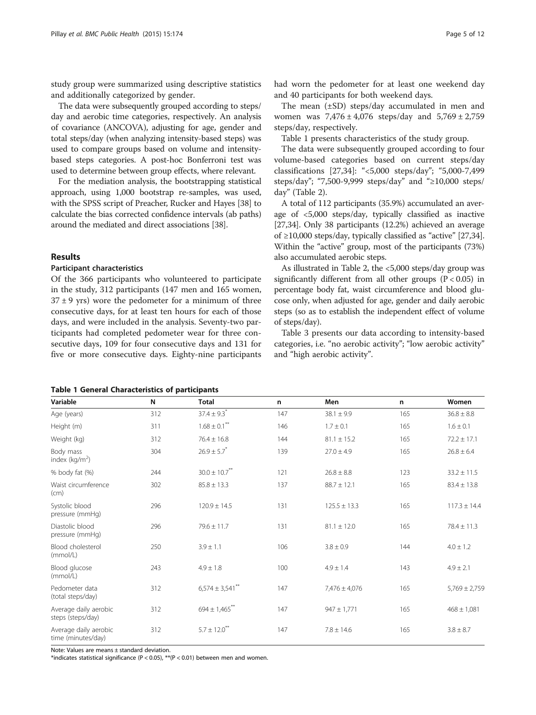study group were summarized using descriptive statistics and additionally categorized by gender.

The data were subsequently grouped according to steps/ day and aerobic time categories, respectively. An analysis of covariance (ANCOVA), adjusting for age, gender and total steps/day (when analyzing intensity-based steps) was used to compare groups based on volume and intensitybased steps categories. A post-hoc Bonferroni test was used to determine between group effects, where relevant.

For the mediation analysis, the bootstrapping statistical approach, using 1,000 bootstrap re-samples, was used, with the SPSS script of Preacher, Rucker and Hayes [\[38\]](#page-11-0) to calculate the bias corrected confidence intervals (ab paths) around the mediated and direct associations [[38](#page-11-0)].

#### Results

# Participant characteristics

Of the 366 participants who volunteered to participate in the study, 312 participants (147 men and 165 women,  $37 \pm 9$  yrs) wore the pedometer for a minimum of three consecutive days, for at least ten hours for each of those days, and were included in the analysis. Seventy-two participants had completed pedometer wear for three consecutive days, 109 for four consecutive days and 131 for five or more consecutive days. Eighty-nine participants

|  |  | <b>Table 1 General Characteristics of participants</b> |  |  |
|--|--|--------------------------------------------------------|--|--|
|--|--|--------------------------------------------------------|--|--|

had worn the pedometer for at least one weekend day and 40 participants for both weekend days.

The mean (±SD) steps/day accumulated in men and women was  $7,476 \pm 4,076$  steps/day and  $5,769 \pm 2,759$ steps/day, respectively.

Table 1 presents characteristics of the study group.

The data were subsequently grouped according to four volume-based categories based on current steps/day classifications [\[27,34](#page-11-0)]: "<5,000 steps/day"; "5,000-7,499 steps/day"; "7,500-9,999 steps/day" and "≥10,000 steps/ day" (Table [2](#page-5-0)).

A total of 112 participants (35.9%) accumulated an average of <5,000 steps/day, typically classified as inactive [[27,34](#page-11-0)]. Only 38 participants (12.2%) achieved an average of ≥10,000 steps/day, typically classified as "active" [\[27,34](#page-11-0)]. Within the "active" group, most of the participants (73%) also accumulated aerobic steps.

As illustrated in Table [2](#page-5-0), the <5,000 steps/day group was significantly different from all other groups  $(P < 0.05)$  in percentage body fat, waist circumference and blood glucose only, when adjusted for age, gender and daily aerobic steps (so as to establish the independent effect of volume of steps/day).

Table [3](#page-5-0) presents our data according to intensity-based categories, i.e. "no aerobic activity"; "low aerobic activity" and "high aerobic activity".

| Variable                                    | N   | <b>Total</b>                    | n   | Men               | n   | Women             |
|---------------------------------------------|-----|---------------------------------|-----|-------------------|-----|-------------------|
| Age (years)                                 | 312 | $37.4\pm9.3^{*}$                | 147 | $38.1 \pm 9.9$    | 165 | $36.8 \pm 8.8$    |
| Height (m)                                  | 311 | $1.68\pm0.1$ $^{**}$            | 146 | $1.7 \pm 0.1$     | 165 | $1.6 \pm 0.1$     |
| Weight (kg)                                 | 312 | $76.4 \pm 16.8$                 | 144 | $81.1 \pm 15.2$   | 165 | $72.2 \pm 17.1$   |
| Body mass<br>index ( $kg/m2$ )              | 304 | $26.9 \pm 5.7$                  | 139 | $27.0 \pm 4.9$    | 165 | $26.8 \pm 6.4$    |
| % body fat (%)                              | 244 | $30.0 \pm 10.7$ <sup>**</sup>   | 121 | $26.8 \pm 8.8$    | 123 | $33.2 \pm 11.5$   |
| Waist circumference<br>(cm)                 | 302 | $85.8 \pm 13.3$                 | 137 | $88.7 \pm 12.1$   | 165 | $83.4 \pm 13.8$   |
| Systolic blood<br>pressure (mmHg)           | 296 | $120.9 \pm 14.5$                | 131 | $125.5 \pm 13.3$  | 165 | $117.3 \pm 14.4$  |
| Diastolic blood<br>pressure (mmHg)          | 296 | $79.6 \pm 11.7$                 | 131 | $81.1 \pm 12.0$   | 165 | $78.4 \pm 11.3$   |
| <b>Blood cholesterol</b><br>(mmol/L)        | 250 | $3.9 \pm 1.1$                   | 106 | $3.8 \pm 0.9$     | 144 | $4.0 \pm 1.2$     |
| Blood glucose<br>(mmol/L)                   | 243 | $4.9 \pm 1.8$                   | 100 | $4.9 \pm 1.4$     | 143 | $4.9 \pm 2.1$     |
| Pedometer data<br>(total steps/day)         | 312 | $6,574 \pm 3,541$ <sup>**</sup> | 147 | $7,476 \pm 4,076$ | 165 | $5,769 \pm 2,759$ |
| Average daily aerobic<br>steps (steps/day)  | 312 | $694 \pm 1,465$ **              | 147 | $947 \pm 1,771$   | 165 | $468 \pm 1,081$   |
| Average daily aerobic<br>time (minutes/day) | 312 | $5.7 \pm 12.0$ <sup>**</sup>    | 147 | $7.8 \pm 14.6$    | 165 | $3.8 \pm 8.7$     |

Note: Values are means ± standard deviation.

\*indicates statistical significance (P < 0.05), \*\* (P < 0.01) between men and women.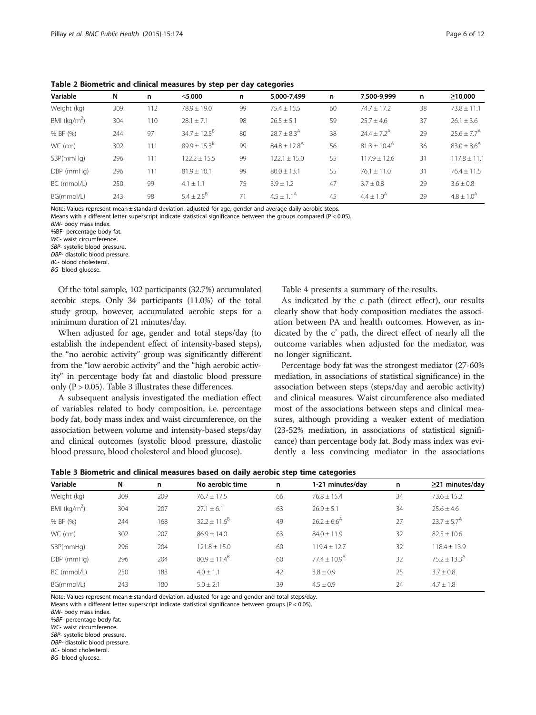<span id="page-5-0"></span>Table 2 Biometric and clinical measures by step per day categories

| Variable        | N   | n   | < 5.000                 | n  | 5,000-7,499                  | n  | 7,500-9,999                  | n  | $\geq 10,000$               |
|-----------------|-----|-----|-------------------------|----|------------------------------|----|------------------------------|----|-----------------------------|
| Weight (kg)     | 309 | 112 | $78.9 \pm 19.0$         | 99 | $75.4 \pm 15.5$              | 60 | $74.7 \pm 17.2$              | 38 | $73.8 \pm 11.1$             |
| BMI ( $kg/m2$ ) | 304 | 110 | $28.1 \pm 7.1$          | 98 | $26.5 \pm 5.1$               | 59 | $25.7 \pm 4.6$               | 37 | $26.1 \pm 3.6$              |
| % BF (%)        | 244 | 97  | $34.7 + 12.5^8$         | 80 | $28.7 \pm 8.3^{\text{A}}$    | 38 | $24.4 \pm 7.2^{\text{A}}$    | 29 | $25.6 \pm 7.7^{\text{A}}$   |
| WC (cm)         | 302 | 111 | $89.9 \pm 15.3^{\circ}$ | 99 | $84.8 \pm 12.8$ <sup>A</sup> | 56 | $81.3 \pm 10.4$ <sup>A</sup> | 36 | $83.0 \pm 8.6$ <sup>A</sup> |
| SBP(mmHg)       | 296 | 111 | $122.2 + 15.5$          | 99 | $122.1 \pm 15.0$             | 55 | $117.9 + 12.6$               | 31 | $117.8 \pm 11.1$            |
| DBP (mmHg)      | 296 | 111 | $81.9 \pm 10.1$         | 99 | $80.0 + 13.1$                | 55 | $76.1 \pm 11.0$              | 31 | $76.4 \pm 11.5$             |
| BC (mmol/L)     | 250 | 99  | $4.1 \pm 1.1$           | 75 | $3.9 + 1.2$                  | 47 | $3.7 \pm 0.8$                | 29 | $3.6 \pm 0.8$               |
| BG(mmol/L)      | 243 | 98  | $5.4 \pm 2.5^8$         | 71 | $4.5 \pm 1.1^{\circ}$        | 45 | $4.4 \pm 1.0^{4}$            | 29 | $4.8 \pm 1.0^{A}$           |

Note: Values represent mean ± standard deviation, adjusted for age, gender and average daily aerobic steps.

Means with a different letter superscript indicate statistical significance between the groups compared (P < 0.05).

BMI- body mass index.

%BF- percentage body fat.

WC- waist circumference.

SBP- systolic blood pressure.

DBP- diastolic blood pressure. BC- blood cholesterol.

BG- blood glucose.

Of the total sample, 102 participants (32.7%) accumulated aerobic steps. Only 34 participants (11.0%) of the total study group, however, accumulated aerobic steps for a minimum duration of 21 minutes/day.

When adjusted for age, gender and total steps/day (to establish the independent effect of intensity-based steps), the "no aerobic activity" group was significantly different from the "low aerobic activity" and the "high aerobic activity" in percentage body fat and diastolic blood pressure only ( $P > 0.05$ ). Table 3 illustrates these differences.

A subsequent analysis investigated the mediation effect of variables related to body composition, i.e. percentage body fat, body mass index and waist circumference, on the association between volume and intensity-based steps/day and clinical outcomes (systolic blood pressure, diastolic blood pressure, blood cholesterol and blood glucose).

Table [4](#page-6-0) presents a summary of the results.

As indicated by the c path (direct effect), our results clearly show that body composition mediates the association between PA and health outcomes. However, as indicated by the c' path, the direct effect of nearly all the outcome variables when adjusted for the mediator, was no longer significant.

Percentage body fat was the strongest mediator (27-60% mediation, in associations of statistical significance) in the association between steps (steps/day and aerobic activity) and clinical measures. Waist circumference also mediated most of the associations between steps and clinical measures, although providing a weaker extent of mediation (23-52% mediation, in associations of statistical significance) than percentage body fat. Body mass index was evidently a less convincing mediator in the associations

| Table 3 Biometric and clinical measures based on daily aerobic step time categories |  |  |  |
|-------------------------------------------------------------------------------------|--|--|--|
|-------------------------------------------------------------------------------------|--|--|--|

| Variable        | N   | n   | No aerobic time         | n  | 1-21 minutes/day             | n  | $\geq$ 21 minutes/day      |
|-----------------|-----|-----|-------------------------|----|------------------------------|----|----------------------------|
| Weight (kg)     | 309 | 209 | $76.7 \pm 17.5$         | 66 | $76.8 + 15.4$                | 34 | $73.6 \pm 15.2$            |
| BMI ( $kg/m2$ ) | 304 | 207 | $27.1 + 6.1$            | 63 | $26.9 \pm 5.1$               | 34 | $25.6 + 4.6$               |
| % BF (%)        | 244 | 168 | $32.2 \pm 11.6^8$       | 49 | $26.2 \pm 6.6^{\text{A}}$    | 27 | $23.7 \pm 5.7^{\text{A}}$  |
| WC (cm)         | 302 | 207 | $86.9 + 14.0$           | 63 | $84.0 + 11.9$                | 32 | $82.5 + 10.6$              |
| SBP(mmHg)       | 296 | 204 | $121.8 \pm 15.0$        | 60 | $119.4 \pm 12.7$             | 32 | $118.4 \pm 13.9$           |
| DBP (mmHg)      | 296 | 204 | $80.9 \pm 11.4^{\circ}$ | 60 | $77.4 \pm 10.9$ <sup>A</sup> | 32 | $75.2 \pm 13.3^{\text{A}}$ |
| BC (mmol/L)     | 250 | 183 | $4.0 + 1.1$             | 42 | $3.8 + 0.9$                  | 25 | $3.7 + 0.8$                |
| BG(mmol/L)      | 243 | 180 | $5.0 + 2.1$             | 39 | $4.5 \pm 0.9$                | 24 | $4.7 \pm 1.8$              |

Note: Values represent mean ± standard deviation, adjusted for age and gender and total steps/day.

Means with a different letter superscript indicate statistical significance between groups (P < 0.05).

BMI- body mass index.

%BF- percentage body fat.

WC- waist circumference.

SBP- systolic blood pressure. DBP- diastolic blood pressure.

BC- blood cholesterol.

BG- blood glucose.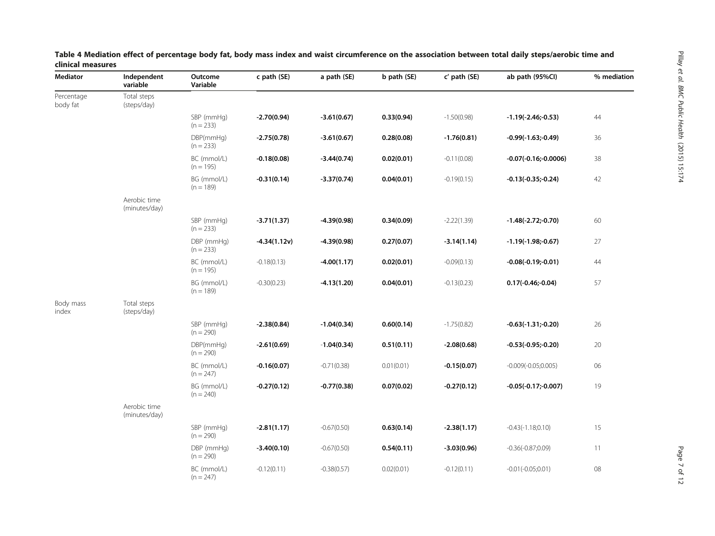| Mediator               | Independent<br>variable       | Outcome<br>Variable        | c path (SE)    | a path (SE)   | b path (SE) | c' path (SE)  | ab path (95%CI)        | % mediation |
|------------------------|-------------------------------|----------------------------|----------------|---------------|-------------|---------------|------------------------|-------------|
| Percentage<br>body fat | Total steps<br>(steps/day)    |                            |                |               |             |               |                        |             |
|                        |                               | SBP (mmHg)<br>$(n = 233)$  | $-2.70(0.94)$  | $-3.61(0.67)$ | 0.33(0.94)  | $-1.50(0.98)$ | $-1.19(-2.46,-0.53)$   | 44          |
|                        |                               | DBP(mmHg)<br>$(n = 233)$   | $-2.75(0.78)$  | $-3.61(0.67)$ | 0.28(0.08)  | $-1.76(0.81)$ | $-0.99(-1.63,-0.49)$   | 36          |
|                        |                               | BC (mmol/L)<br>$(n = 195)$ | $-0.18(0.08)$  | $-3.44(0.74)$ | 0.02(0.01)  | $-0.11(0.08)$ | $-0.07(-0.16,-0.0006)$ | 38          |
|                        |                               | BG (mmol/L)<br>$(n = 189)$ | $-0.31(0.14)$  | $-3.37(0.74)$ | 0.04(0.01)  | $-0.19(0.15)$ | $-0.13(-0.35,-0.24)$   | 42          |
|                        | Aerobic time<br>(minutes/day) |                            |                |               |             |               |                        |             |
|                        |                               | SBP (mmHg)<br>$(n = 233)$  | $-3.71(1.37)$  | $-4.39(0.98)$ | 0.34(0.09)  | $-2.22(1.39)$ | $-1.48(-2.72)-0.70$    | 60          |
|                        |                               | DBP (mmHg)<br>$(n = 233)$  | $-4.34(1.12v)$ | $-4.39(0.98)$ | 0.27(0.07)  | $-3.14(1.14)$ | $-1.19(-1.98,-0.67)$   | $27\,$      |
|                        |                               | BC (mmol/L)<br>$(n = 195)$ | $-0.18(0.13)$  | $-4.00(1.17)$ | 0.02(0.01)  | $-0.09(0.13)$ | $-0.08(-0.19,-0.01)$   | 44          |
|                        |                               | BG (mmol/L)<br>$(n = 189)$ | $-0.30(0.23)$  | $-4.13(1.20)$ | 0.04(0.01)  | $-0.13(0.23)$ | $0.17(-0.46,-0.04)$    | 57          |
| Body mass<br>index     | Total steps<br>(steps/day)    |                            |                |               |             |               |                        |             |
|                        |                               | SBP (mmHg)<br>$(n = 290)$  | $-2.38(0.84)$  | $-1.04(0.34)$ | 0.60(0.14)  | $-1.75(0.82)$ | $-0.63(-1.31,-0.20)$   | 26          |
|                        |                               | DBP(mmHq)<br>$(n = 290)$   | $-2.61(0.69)$  | $-1.04(0.34)$ | 0.51(0.11)  | $-2.08(0.68)$ | $-0.53(-0.95,-0.20)$   | 20          |
|                        |                               | BC (mmol/L)<br>$(n = 247)$ | $-0.16(0.07)$  | $-0.71(0.38)$ | 0.01(0.01)  | $-0.15(0.07)$ | $-0.009(-0.05;0.005)$  | 06          |
|                        |                               | BG (mmol/L)<br>$(n = 240)$ | $-0.27(0.12)$  | $-0.77(0.38)$ | 0.07(0.02)  | $-0.27(0.12)$ | $-0.05(-0.17,-0.007)$  | 19          |
|                        | Aerobic time<br>(minutes/day) |                            |                |               |             |               |                        |             |
|                        |                               | SBP (mmHg)<br>$(n = 290)$  | $-2.81(1.17)$  | $-0.67(0.50)$ | 0.63(0.14)  | $-2.38(1.17)$ | $-0.43(-1.18;0.10)$    | 15          |
|                        |                               | DBP (mmHg)<br>$(n = 290)$  | $-3.40(0.10)$  | $-0.67(0.50)$ | 0.54(0.11)  | $-3.03(0.96)$ | $-0.36(-0.87;0.09)$    | 11          |
|                        |                               | BC (mmol/L)<br>$(n = 247)$ | $-0.12(0.11)$  | $-0.38(0.57)$ | 0.02(0.01)  | $-0.12(0.11)$ | $-0.01(-0.05;0.01)$    | 08          |

<span id="page-6-0"></span>Table 4 Mediation effect of percentage body fat, body mass index and waist circumference on the association between total daily steps/aerobic time and clinical measures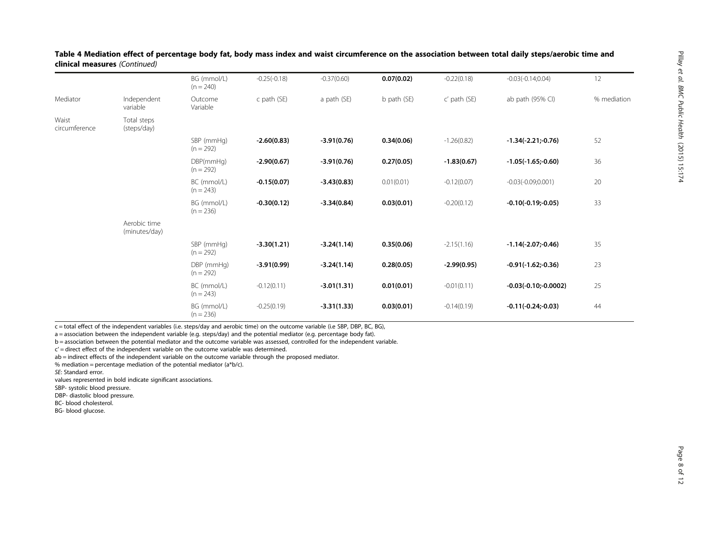|                        |                               | BG (mmol/L)<br>$(n = 240)$ | $-0.25(-0.18)$ | $-0.37(0.60)$ | 0.07(0.02)  | $-0.22(0.18)$  | $-0.03(-0.14;0.04)$    | 12          |
|------------------------|-------------------------------|----------------------------|----------------|---------------|-------------|----------------|------------------------|-------------|
| Mediator               | Independent<br>variable       | Outcome<br>Variable        | c path (SE)    | a path (SE)   | b path (SE) | $c'$ path (SE) | ab path (95% CI)       | % mediation |
| Waist<br>circumference | Total steps<br>(steps/day)    |                            |                |               |             |                |                        |             |
|                        |                               | SBP (mmHg)<br>$(n = 292)$  | $-2.60(0.83)$  | $-3.91(0.76)$ | 0.34(0.06)  | $-1.26(0.82)$  | $-1.34(-2.21,-0.76)$   | 52          |
|                        |                               | DBP(mmHq)<br>$(n = 292)$   | $-2.90(0.67)$  | $-3.91(0.76)$ | 0.27(0.05)  | $-1.83(0.67)$  | $-1.05(-1.65,-0.60)$   | 36          |
|                        |                               | BC (mmol/L)<br>$(n = 243)$ | $-0.15(0.07)$  | $-3.43(0.83)$ | 0.01(0.01)  | $-0.12(0.07)$  | $-0.03(-0.09;0.001)$   | 20          |
|                        |                               | BG (mmol/L)<br>$(n = 236)$ | $-0.30(0.12)$  | $-3.34(0.84)$ | 0.03(0.01)  | $-0.20(0.12)$  | $-0.10(-0.19,-0.05)$   | 33          |
|                        | Aerobic time<br>(minutes/day) |                            |                |               |             |                |                        |             |
|                        |                               | SBP (mmHg)<br>$(n = 292)$  | $-3.30(1.21)$  | $-3.24(1.14)$ | 0.35(0.06)  | $-2.15(1.16)$  | $-1.14(-2.07)-0.46$    | 35          |
|                        |                               | DBP (mmHg)<br>$(n = 292)$  | $-3.91(0.99)$  | $-3.24(1.14)$ | 0.28(0.05)  | $-2.99(0.95)$  | $-0.91(-1.62,-0.36)$   | 23          |
|                        |                               | BC (mmol/L)<br>$(n = 243)$ | $-0.12(0.11)$  | $-3.01(1.31)$ | 0.01(0.01)  | $-0.01(0.11)$  | $-0.03(-0.10,-0.0002)$ | 25          |
|                        |                               | BG (mmol/L)<br>$(n = 236)$ | $-0.25(0.19)$  | $-3.31(1.33)$ | 0.03(0.01)  | $-0.14(0.19)$  | $-0.11(-0.24,-0.03)$   | 44          |

# Table 4 Mediation effect of percentage body fat, body mass index and waist circumference on the association between total daily steps/aerobic time and clinical measures (Continued)

c = total effect of the independent variables (i.e. steps/day and aerobic time) on the outcome variable (i.e SBP, DBP, BC, BG),

a = association between the independent variable (e.g. steps/day) and the potential mediator (e.g. percentage body fat).

b = association between the potential mediator and the outcome variable was assessed, controlled for the independent variable.

 $c'$  = direct effect of the independent variable on the outcome variable was determined.

ab = indirect effects of the independent variable on the outcome variable through the proposed mediator.

% mediation = percentage mediation of the potential mediator ( $a^*b/c$ ).

SE: Standard error.

values represented in bold indicate significant associations.

SBP- systolic blood pressure.

DBP- diastolic blood pressure.

BC- blood cholesterol.

BG- blood glucose.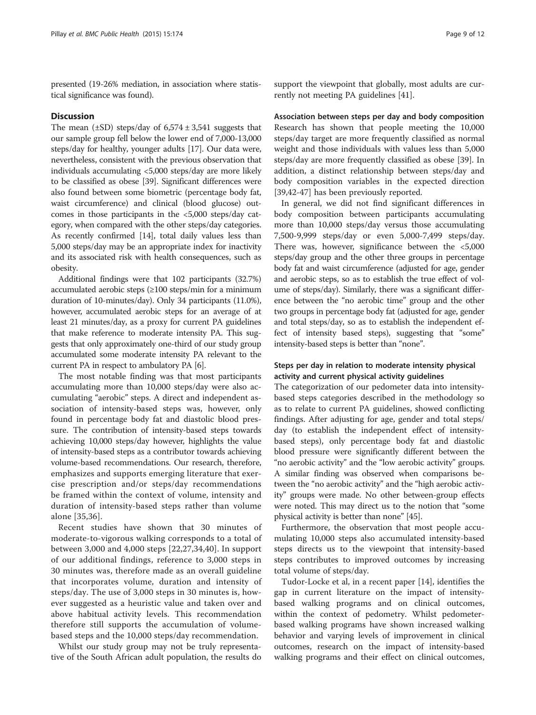presented (19-26% mediation, in association where statistical significance was found).

# **Discussion**

The mean  $(\pm SD)$  steps/day of 6,574  $\pm$  3,541 suggests that our sample group fell below the lower end of 7,000-13,000 steps/day for healthy, younger adults [[17](#page-10-0)]. Our data were, nevertheless, consistent with the previous observation that individuals accumulating <5,000 steps/day are more likely to be classified as obese [\[39\]](#page-11-0). Significant differences were also found between some biometric (percentage body fat, waist circumference) and clinical (blood glucose) outcomes in those participants in the <5,000 steps/day category, when compared with the other steps/day categories. As recently confirmed [\[14\]](#page-10-0), total daily values less than 5,000 steps/day may be an appropriate index for inactivity and its associated risk with health consequences, such as obesity.

Additional findings were that 102 participants (32.7%) accumulated aerobic steps  $(\geq 100$  steps/min for a minimum duration of 10-minutes/day). Only 34 participants (11.0%), however, accumulated aerobic steps for an average of at least 21 minutes/day, as a proxy for current PA guidelines that make reference to moderate intensity PA. This suggests that only approximately one-third of our study group accumulated some moderate intensity PA relevant to the current PA in respect to ambulatory PA [\[6\]](#page-10-0).

The most notable finding was that most participants accumulating more than 10,000 steps/day were also accumulating "aerobic" steps. A direct and independent association of intensity-based steps was, however, only found in percentage body fat and diastolic blood pressure. The contribution of intensity-based steps towards achieving 10,000 steps/day however, highlights the value of intensity-based steps as a contributor towards achieving volume-based recommendations. Our research, therefore, emphasizes and supports emerging literature that exercise prescription and/or steps/day recommendations be framed within the context of volume, intensity and duration of intensity-based steps rather than volume alone [[35,36](#page-11-0)].

Recent studies have shown that 30 minutes of moderate-to-vigorous walking corresponds to a total of between 3,000 and 4,000 steps [[22,27,34](#page-11-0),[40\]](#page-11-0). In support of our additional findings, reference to 3,000 steps in 30 minutes was, therefore made as an overall guideline that incorporates volume, duration and intensity of steps/day. The use of 3,000 steps in 30 minutes is, however suggested as a heuristic value and taken over and above habitual activity levels. This recommendation therefore still supports the accumulation of volumebased steps and the 10,000 steps/day recommendation.

Whilst our study group may not be truly representative of the South African adult population, the results do support the viewpoint that globally, most adults are currently not meeting PA guidelines [[41](#page-11-0)].

Association between steps per day and body composition Research has shown that people meeting the 10,000 steps/day target are more frequently classified as normal weight and those individuals with values less than 5,000 steps/day are more frequently classified as obese [\[39](#page-11-0)]. In addition, a distinct relationship between steps/day and body composition variables in the expected direction [[39,42-47](#page-11-0)] has been previously reported.

In general, we did not find significant differences in body composition between participants accumulating more than 10,000 steps/day versus those accumulating 7,500-9,999 steps/day or even 5,000-7,499 steps/day. There was, however, significance between the <5,000 steps/day group and the other three groups in percentage body fat and waist circumference (adjusted for age, gender and aerobic steps, so as to establish the true effect of volume of steps/day). Similarly, there was a significant difference between the "no aerobic time" group and the other two groups in percentage body fat (adjusted for age, gender and total steps/day, so as to establish the independent effect of intensity based steps), suggesting that "some" intensity-based steps is better than "none".

# Steps per day in relation to moderate intensity physical activity and current physical activity guidelines

The categorization of our pedometer data into intensitybased steps categories described in the methodology so as to relate to current PA guidelines, showed conflicting findings. After adjusting for age, gender and total steps/ day (to establish the independent effect of intensitybased steps), only percentage body fat and diastolic blood pressure were significantly different between the "no aerobic activity" and the "low aerobic activity" groups. A similar finding was observed when comparisons between the "no aerobic activity" and the "high aerobic activity" groups were made. No other between-group effects were noted. This may direct us to the notion that "some physical activity is better than none" [[45](#page-11-0)].

Furthermore, the observation that most people accumulating 10,000 steps also accumulated intensity-based steps directs us to the viewpoint that intensity-based steps contributes to improved outcomes by increasing total volume of steps/day.

Tudor-Locke et al, in a recent paper [[14\]](#page-10-0), identifies the gap in current literature on the impact of intensitybased walking programs and on clinical outcomes, within the context of pedometry. Whilst pedometerbased walking programs have shown increased walking behavior and varying levels of improvement in clinical outcomes, research on the impact of intensity-based walking programs and their effect on clinical outcomes,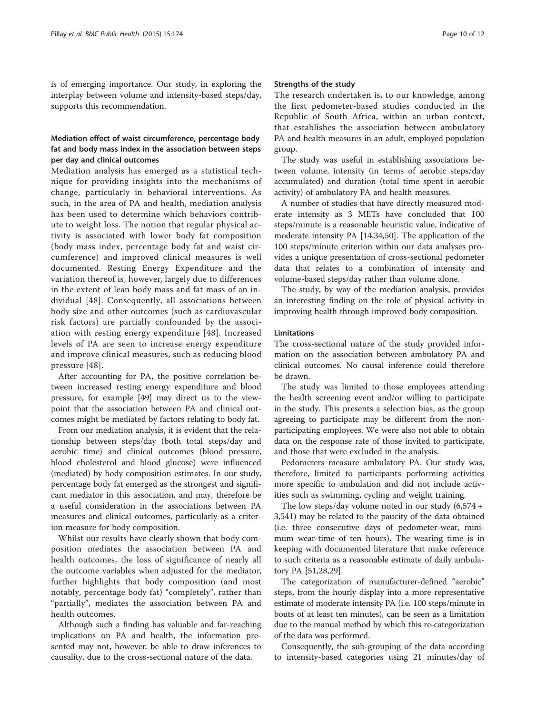is of emerging importance. Our study, in exploring the interplay between volume and intensity-based steps/day, supports this recommendation.

# Mediation effect of waist circumference, percentage body fat and body mass index in the association between steps per day and clinical outcomes

Mediation analysis has emerged as a statistical technique for providing insights into the mechanisms of change, particularly in behavioral interventions. As such, in the area of PA and health, mediation analysis has been used to determine which behaviors contribute to weight loss. The notion that regular physical activity is associated with lower body fat composition (body mass index, percentage body fat and waist circumference) and improved clinical measures is well documented. Resting Energy Expenditure and the variation thereof is, however, largely due to differences in the extent of lean body mass and fat mass of an individual [[48](#page-11-0)]. Consequently, all associations between body size and other outcomes (such as cardiovascular risk factors) are partially confounded by the association with resting energy expenditure [\[48\]](#page-11-0). Increased levels of PA are seen to increase energy expenditure and improve clinical measures, such as reducing blood pressure [[48](#page-11-0)].

After accounting for PA, the positive correlation between increased resting energy expenditure and blood pressure, for example [\[49\]](#page-11-0) may direct us to the viewpoint that the association between PA and clinical outcomes might be mediated by factors relating to body fat.

From our mediation analysis, it is evident that the relationship between steps/day (both total steps/day and aerobic time) and clinical outcomes (blood pressure, blood cholesterol and blood glucose) were influenced (mediated) by body composition estimates. In our study, percentage body fat emerged as the strongest and significant mediator in this association, and may, therefore be a useful consideration in the associations between PA measures and clinical outcomes, particularly as a criterion measure for body composition.

Whilst our results have clearly shown that body composition mediates the association between PA and health outcomes, the loss of significance of nearly all the outcome variables when adjusted for the mediator, further highlights that body composition (and most notably, percentage body fat) "completely", rather than "partially", mediates the association between PA and health outcomes.

Although such a finding has valuable and far-reaching implications on PA and health, the information presented may not, however, be able to draw inferences to causality, due to the cross-sectional nature of the data.

#### Strengths of the study

The research undertaken is, to our knowledge, among the first pedometer-based studies conducted in the Republic of South Africa, within an urban context, that establishes the association between ambulatory PA and health measures in an adult, employed population group.

The study was useful in establishing associations between volume, intensity (in terms of aerobic steps/day accumulated) and duration (total time spent in aerobic activity) of ambulatory PA and health measures.

A number of studies that have directly measured moderate intensity as 3 METs have concluded that 100 steps/minute is a reasonable heuristic value, indicative of moderate intensity PA [[14](#page-10-0),[34](#page-11-0),[50](#page-11-0)]. The application of the 100 steps/minute criterion within our data analyses provides a unique presentation of cross-sectional pedometer data that relates to a combination of intensity and volume-based steps/day rather than volume alone.

The study, by way of the mediation analysis, provides an interesting finding on the role of physical activity in improving health through improved body composition.

#### Limitations

The cross-sectional nature of the study provided information on the association between ambulatory PA and clinical outcomes. No causal inference could therefore be drawn.

The study was limited to those employees attending the health screening event and/or willing to participate in the study. This presents a selection bias, as the group agreeing to participate may be different from the nonparticipating employees. We were also not able to obtain data on the response rate of those invited to participate, and those that were excluded in the analysis.

Pedometers measure ambulatory PA. Our study was, therefore, limited to participants performing activities more specific to ambulation and did not include activities such as swimming, cycling and weight training.

The low steps/day volume noted in our study (6,574 + 3,541) may be related to the paucity of the data obtained (i.e. three consecutive days of pedometer-wear, minimum wear-time of ten hours). The wearing time is in keeping with documented literature that make reference to such criteria as a reasonable estimate of daily ambulatory PA [\[51,28,29\]](#page-11-0).

The categorization of manufacturer-defined "aerobic" steps, from the hourly display into a more representative estimate of moderate intensity PA (i.e. 100 steps/minute in bouts of at least ten minutes), can be seen as a limitation due to the manual method by which this re-categorization of the data was performed.

Consequently, the sub-grouping of the data according to intensity-based categories using 21 minutes/day of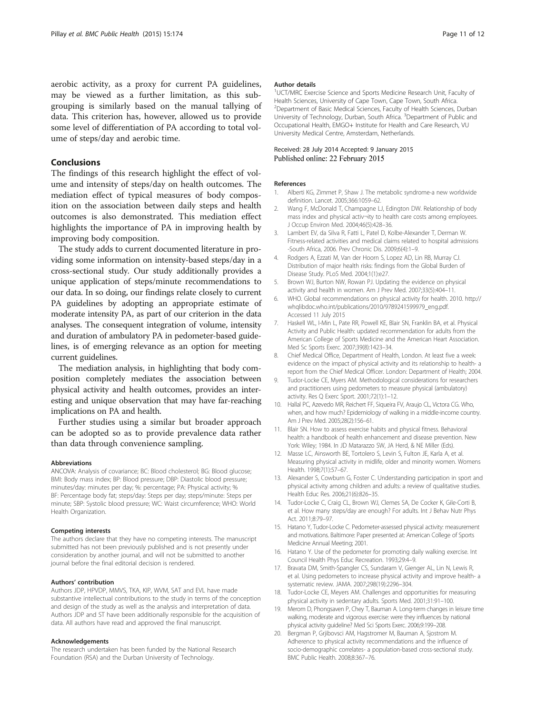<span id="page-10-0"></span>aerobic activity, as a proxy for current PA guidelines, may be viewed as a further limitation, as this subgrouping is similarly based on the manual tallying of data. This criterion has, however, allowed us to provide some level of differentiation of PA according to total volume of steps/day and aerobic time.

# Conclusions

The findings of this research highlight the effect of volume and intensity of steps/day on health outcomes. The mediation effect of typical measures of body composition on the association between daily steps and health outcomes is also demonstrated. This mediation effect highlights the importance of PA in improving health by improving body composition.

The study adds to current documented literature in providing some information on intensity-based steps/day in a cross-sectional study. Our study additionally provides a unique application of steps/minute recommendations to our data. In so doing, our findings relate closely to current PA guidelines by adopting an appropriate estimate of moderate intensity PA, as part of our criterion in the data analyses. The consequent integration of volume, intensity and duration of ambulatory PA in pedometer-based guidelines, is of emerging relevance as an option for meeting current guidelines.

The mediation analysis, in highlighting that body composition completely mediates the association between physical activity and health outcomes, provides an interesting and unique observation that may have far-reaching implications on PA and health.

Further studies using a similar but broader approach can be adopted so as to provide prevalence data rather than data through convenience sampling.

#### Abbreviations

ANCOVA: Analysis of covariance; BC: Blood cholesterol; BG: Blood glucose; BMI: Body mass index; BP: Blood pressure; DBP: Diastolic blood pressure; minutes/day: minutes per day; %: percentage; PA: Physical activity; % BF: Percentage body fat; steps/day: Steps per day; steps/minute: Steps per minute; SBP: Systolic blood pressure; WC: Waist circumference; WHO: World Health Organization.

#### Competing interests

The authors declare that they have no competing interests. The manuscript submitted has not been previously published and is not presently under consideration by another journal, and will not be submitted to another journal before the final editorial decision is rendered.

#### Authors' contribution

Authors JDP, HPVDP, MMVS, TKA, KIP, WVM, SAT and EVL have made substantive intellectual contributions to the study in terms of the conception and design of the study as well as the analysis and interpretation of data. Authors JDP and ST have been additionally responsible for the acquisition of data. All authors have read and approved the final manuscript.

#### Acknowledgements

The research undertaken has been funded by the National Research Foundation (RSA) and the Durban University of Technology.

#### Author details

<sup>1</sup>UCT/MRC Exercise Science and Sports Medicine Research Unit, Faculty of Health Sciences, University of Cape Town, Cape Town, South Africa. <sup>2</sup>Department of Basic Medical Sciences, Faculty of Health Sciences, Durban University of Technology, Durban, South Africa. <sup>3</sup>Department of Public and Occupational Health, EMGO+ Institute for Health and Care Research, VU University Medical Centre, Amsterdam, Netherlands.

#### Received: 28 July 2014 Accepted: 9 January 2015 Published online: 22 February 2015

#### References

- 1. Alberti KG, Zimmet P, Shaw J. The metabolic syndrome-a new worldwide definition. Lancet. 2005;366:1059–62.
- 2. Wang F, McDonald T, Champagne LJ, Edington DW. Relationship of body mass index and physical activ¬ity to health care costs among employees. J Occup Environ Med. 2004;46(5):428–36.
- 3. Lambert EV, da Silva R, Fatti L, Patel D, Kolbe-Alexander T, Derman W. Fitness-related activities and medical claims related to hospital admissions -South Africa, 2006. Prev Chronic Dis. 2009;6(4):1–9.
- 4. Rodgers A, Ezzati M, Van der Hoorn S, Lopez AD, Lin RB, Murray CJ. Distribution of major health risks: findings from the Global Burden of Disease Study. PLoS Med. 2004;1(1):e27.
- 5. Brown WJ, Burton NW, Rowan PJ. Updating the evidence on physical activity and health in women. Am J Prev Med. 2007;33(5):404–11.
- 6. WHO. Global recommendations on physical activity for health. 2010. [http://](http://whqlibdoc.who.int/publications/2010/9789241599979_eng.pdf) [whqlibdoc.who.int/publications/2010/9789241599979\\_eng.pdf.](http://whqlibdoc.who.int/publications/2010/9789241599979_eng.pdf) Accessed 11 July 2015
- 7. Haskell WL, I-Min L, Pate RR, Powell KE, Blair SN, Franklin BA, et al. Physical Activity and Public Health: updated recommendation for adults from the American College of Sports Medicine and the American Heart Association. Med Sc Sports Exerc. 2007;39(8):1423–34.
- 8. Chief Medical Office, Department of Health, London. At least five a week: evidence on the impact of physical activity and its relationship to health- a report from the Chief Medical Officer. London: Department of Health; 2004.
- 9. Tudor-Locke CE, Myers AM. Methodological considerations for researchers and practitioners using pedometers to measure physical (ambulatory) activity. Res Q Exerc Sport. 2001;72(1):1–12.
- 10. Hallal PC, Azevedo MR, Reichert FF, Siqueira FV, Araujo CL, Victora CG. Who, when, and how much? Epidemiology of walking in a middle-income country. Am J Prev Med. 2005;28(2):156–61.
- 11. Blair SN. How to assess exercise habits and physical fitness. Behavioral health: a handbook of health enhancement and disease prevention. New York: Wiley; 1984. In JD Matarazzo SW, JA Herd, & NE Miller (Eds).
- 12. Masse LC, Ainsworth BE, Tortolero S, Levin S, Fulton JE, Karla A, et al. Measuring physical activity in midlife, older and minority women. Womens Health. 1998;7(1):57–67.
- 13. Alexander S, Cowburn G, Foster C. Understanding participation in sport and physical activity among children and adults: a review of qualitative studies. Health Educ Res. 2006;21(6):826–35.
- 14. Tudor-Locke C, Craig CL, Brown WJ, Clemes SA, De Cocker K, Gile-Corti B, et al. How many steps/day are enough? For adults. Int J Behav Nutr Phys Act. 2011;8:79–97.
- 15. Hatano Y, Tudor-Locke C. Pedometer-assessed physical activity: measurement and motivations. Baltimore: Paper presented at: American College of Sports Medicine Annual Meeting; 2001.
- 16. Hatano Y. Use of the pedometer for promoting daily walking exercise. Int Council Health Phys Educ Recreation. 1993;29:4–9.
- 17. Bravata DM, Smith-Spangler CS, Sundaram V, Gienger AL, Lin N, Lewis R, et al. Using pedometers to increase physical activity and improve health- a systematic review. JAMA. 2007;298(19):2296–304.
- 18. Tudor-Locke CE, Meyers AM. Challenges and opportunities for measuring physical activity in sedentary adults. Sports Med. 2001;31:91–100.
- 19. Merom D, Phongsaven P, Chey T, Bauman A. Long-term changes in leisure time walking, moderate and vigorous exercise: were they influences by national physical activity guideline? Med Sci Sports Exerc. 2006;9:199–208.
- 20. Bergman P, Grjibovsci AM, Hagstromer M, Bauman A, Sjostrom M. Adherence to physical activity recommendations and the influence of socio-demographic correlates- a population-based cross-sectional study. BMC Public Health. 2008;8:367–76.